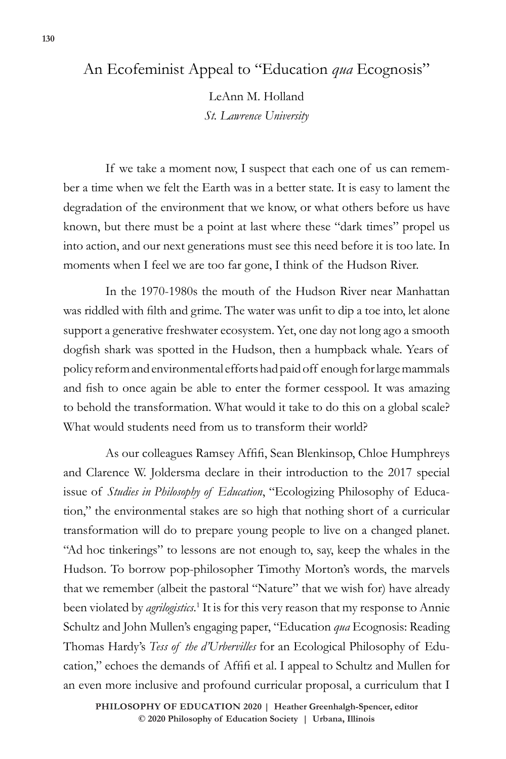## An Ecofeminist Appeal to "Education *qua* Ecognosis"

LeAnn M. Holland *St. Lawrence University*

If we take a moment now, I suspect that each one of us can remember a time when we felt the Earth was in a better state. It is easy to lament the degradation of the environment that we know, or what others before us have known, but there must be a point at last where these "dark times" propel us into action, and our next generations must see this need before it is too late. In moments when I feel we are too far gone, I think of the Hudson River.

In the 1970-1980s the mouth of the Hudson River near Manhattan was riddled with filth and grime. The water was unfit to dip a toe into, let alone support a generative freshwater ecosystem. Yet, one day not long ago a smooth dogfish shark was spotted in the Hudson, then a humpback whale. Years of policy reform and environmental efforts had paid off enough for large mammals and fish to once again be able to enter the former cesspool. It was amazing to behold the transformation. What would it take to do this on a global scale? What would students need from us to transform their world?

As our colleagues Ramsey Affifi, Sean Blenkinsop, Chloe Humphreys and Clarence W. Joldersma declare in their introduction to the 2017 special issue of *Studies in Philosophy of Education*, "Ecologizing Philosophy of Education," the environmental stakes are so high that nothing short of a curricular transformation will do to prepare young people to live on a changed planet. "Ad hoc tinkerings" to lessons are not enough to, say, keep the whales in the Hudson. To borrow pop-philosopher Timothy Morton's words, the marvels that we remember (albeit the pastoral "Nature" that we wish for) have already been violated by *agrilogistics*.<sup>1</sup> It is for this very reason that my response to Annie Schultz and John Mullen's engaging paper, "Education *qua* Ecognosis: Reading Thomas Hardy's *Tess of the d'Urbervilles* for an Ecological Philosophy of Education," echoes the demands of Affifi et al. I appeal to Schultz and Mullen for an even more inclusive and profound curricular proposal, a curriculum that I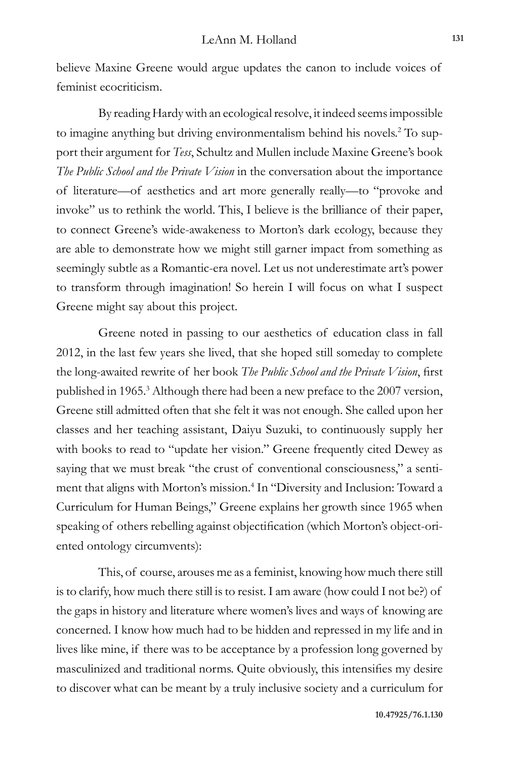believe Maxine Greene would argue updates the canon to include voices of feminist ecocriticism.

By reading Hardy with an ecological resolve, it indeed seems impossible to imagine anything but driving environmentalism behind his novels.<sup>2</sup> To support their argument for *Tess*, Schultz and Mullen include Maxine Greene's book *The Public School and the Private Vision* in the conversation about the importance of literature—of aesthetics and art more generally really—to "provoke and invoke" us to rethink the world. This, I believe is the brilliance of their paper, to connect Greene's wide-awakeness to Morton's dark ecology, because they are able to demonstrate how we might still garner impact from something as seemingly subtle as a Romantic-era novel. Let us not underestimate art's power to transform through imagination! So herein I will focus on what I suspect Greene might say about this project.

Greene noted in passing to our aesthetics of education class in fall 2012, in the last few years she lived, that she hoped still someday to complete the long-awaited rewrite of her book *The Public School and the Private Vision*, first published in 1965.<sup>3</sup> Although there had been a new preface to the 2007 version, Greene still admitted often that she felt it was not enough. She called upon her classes and her teaching assistant, Daiyu Suzuki, to continuously supply her with books to read to "update her vision." Greene frequently cited Dewey as saying that we must break "the crust of conventional consciousness," a sentiment that aligns with Morton's mission.<sup>4</sup> In "Diversity and Inclusion: Toward a Curriculum for Human Beings," Greene explains her growth since 1965 when speaking of others rebelling against objectification (which Morton's object-oriented ontology circumvents):

This, of course, arouses me as a feminist, knowing how much there still is to clarify, how much there still is to resist. I am aware (how could I not be?) of the gaps in history and literature where women's lives and ways of knowing are concerned. I know how much had to be hidden and repressed in my life and in lives like mine, if there was to be acceptance by a profession long governed by masculinized and traditional norms. Quite obviously, this intensifies my desire to discover what can be meant by a truly inclusive society and a curriculum for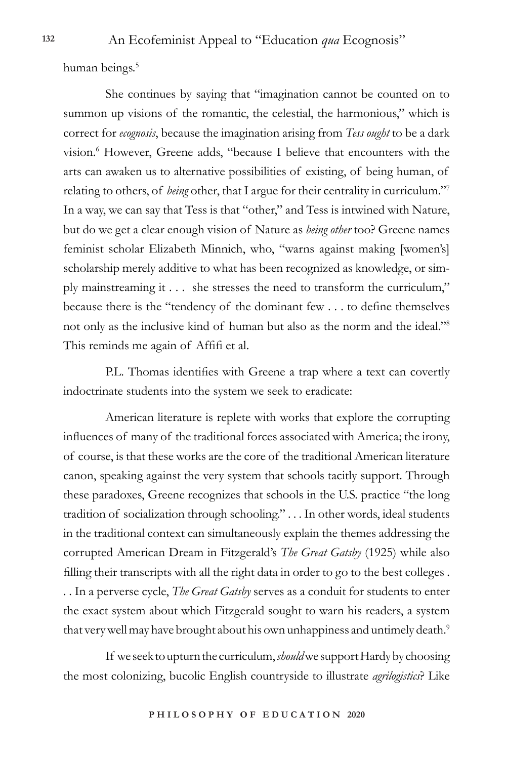human beings.<sup>5</sup>

She continues by saying that "imagination cannot be counted on to summon up visions of the romantic, the celestial, the harmonious," which is correct for *ecognosis*, because the imagination arising from *Tess ought* to be a dark vision.<sup>6</sup> However, Greene adds, "because I believe that encounters with the arts can awaken us to alternative possibilities of existing, of being human, of relating to others, of *being* other, that I argue for their centrality in curriculum."7 In a way, we can say that Tess is that "other," and Tess is intwined with Nature, but do we get a clear enough vision of Nature as *being other* too? Greene names feminist scholar Elizabeth Minnich, who, "warns against making [women's] scholarship merely additive to what has been recognized as knowledge, or simply mainstreaming it . . . she stresses the need to transform the curriculum," because there is the "tendency of the dominant few . . . to define themselves not only as the inclusive kind of human but also as the norm and the ideal."8 This reminds me again of Affifi et al.

P.L. Thomas identifies with Greene a trap where a text can covertly indoctrinate students into the system we seek to eradicate:

American literature is replete with works that explore the corrupting influences of many of the traditional forces associated with America; the irony, of course, is that these works are the core of the traditional American literature canon, speaking against the very system that schools tacitly support. Through these paradoxes, Greene recognizes that schools in the U.S. practice "the long tradition of socialization through schooling." . . . In other words, ideal students in the traditional context can simultaneously explain the themes addressing the corrupted American Dream in Fitzgerald's *The Great Gatsby* (1925) while also filling their transcripts with all the right data in order to go to the best colleges . . . In a perverse cycle, *The Great Gatsby* serves as a conduit for students to enter the exact system about which Fitzgerald sought to warn his readers, a system that very well may have brought about his own unhappiness and untimely death. $^9$ 

If we seek to upturn the curriculum, *should* we support Hardy by choosing the most colonizing, bucolic English countryside to illustrate *agrilogistics*? Like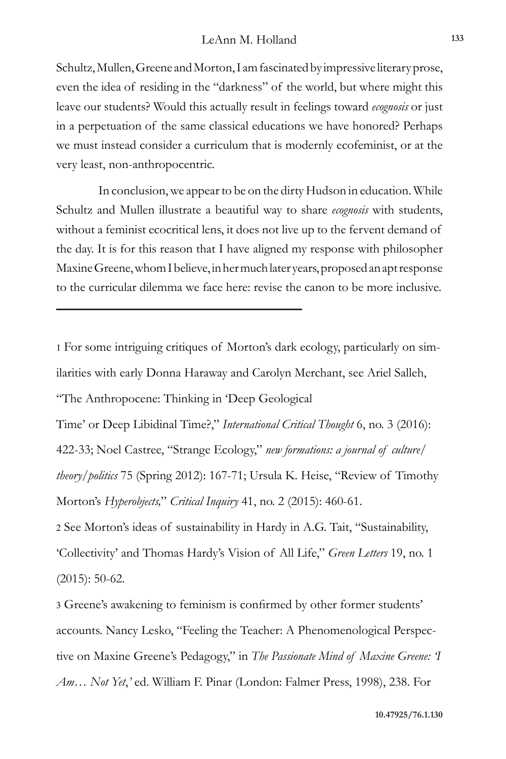Schultz, Mullen, Greene and Morton, I am fascinated by impressive literary prose, even the idea of residing in the "darkness" of the world, but where might this leave our students? Would this actually result in feelings toward *ecognosis* or just in a perpetuation of the same classical educations we have honored? Perhaps we must instead consider a curriculum that is modernly ecofeminist, or at the very least, non-anthropocentric.

In conclusion, we appear to be on the dirty Hudson in education. While Schultz and Mullen illustrate a beautiful way to share *ecognosis* with students, without a feminist ecocritical lens, it does not live up to the fervent demand of the day. It is for this reason that I have aligned my response with philosopher Maxine Greene, whom I believe, in her much later years, proposed an apt response to the curricular dilemma we face here: revise the canon to be more inclusive.

1 For some intriguing critiques of Morton's dark ecology, particularly on similarities with early Donna Haraway and Carolyn Merchant, see Ariel Salleh, "The Anthropocene: Thinking in 'Deep Geological Time' or Deep Libidinal Time?," *International Critical Thought* 6, no. 3 (2016): 422-33; Noel Castree, "Strange Ecology," *new formations: a journal of culture/ theory/politics* 75 (Spring 2012): 167-71; Ursula K. Heise, "Review of Timothy Morton's *Hyperobjects,*" *Critical Inquiry* 41, no. 2 (2015): 460-61.

2 See Morton's ideas of sustainability in Hardy in A.G. Tait, "Sustainability, 'Collectivity' and Thomas Hardy's Vision of All Life," *Green Letters* 19, no. 1 (2015): 50-62.

3 Greene's awakening to feminism is confirmed by other former students' accounts. Nancy Lesko, "Feeling the Teacher: A Phenomenological Perspective on Maxine Greene's Pedagogy," in *The Passionate Mind of Maxine Greene: 'I Am… Not Yet*,*'* ed. William F. Pinar (London: Falmer Press, 1998), 238. For